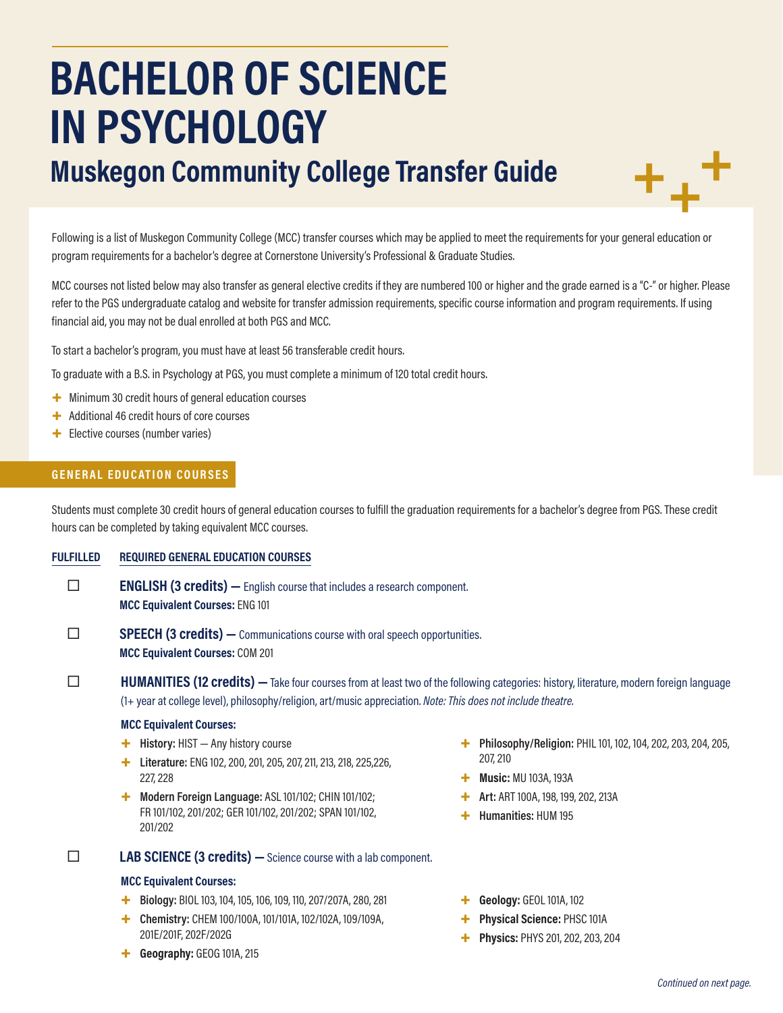# **BACHELOR OF SCIENCE IN PSYCHOLOGY**

# **Muskegon Community College Transfer Guide**

Following is a list of Muskegon Community College (MCC) transfer courses which may be applied to meet the requirements for your general education or program requirements for a bachelor's degree at Cornerstone University's Professional & Graduate Studies.

MCC courses not listed below may also transfer as general elective credits if they are numbered 100 or higher and the grade earned is a "C-" or higher. Please refer to the PGS undergraduate catalog and website for transfer admission requirements, specific course information and program requirements. If using financial aid, you may not be dual enrolled at both PGS and MCC.

To start a bachelor's program, you must have at least 56 transferable credit hours.

To graduate with a B.S. in Psychology at PGS, you must complete a minimum of 120 total credit hours.

- $+$  Minimum 30 credit hours of general education courses
- + Additional 46 credit hours of core courses
- + Elective courses (number varies)

# **GENERAL EDUCATION COURSES**

Students must complete 30 credit hours of general education courses to fulfill the graduation requirements for a bachelor's degree from PGS. These credit hours can be completed by taking equivalent MCC courses.

## **FULFILLED REQUIRED GENERAL EDUCATION COURSES**

- **ENGLISH (3 credits)** English course that includes a research component. **MCC Equivalent Courses:** ENG 101
- **SPEECH (3 credits)** Communications course with oral speech opportunities. **MCC Equivalent Courses:** COM 201

**HUMANITIES (12 credits)** — Take four courses from at least two of the following categories: history, literature, modern foreign language (1+ year at college level), philosophy/religion, art/music appreciation. *Note: This does not include theatre.*

#### **MCC Equivalent Courses:**

- + **History:** HIST Any history course
- + **Literature:** ENG 102, 200, 201, 205, 207, 211, 213, 218, 225,226, 227, 228
- + **Modern Foreign Language:** ASL 101/102; CHIN 101/102; FR 101/102, 201/202; GER 101/102, 201/202; SPAN 101/102, 201/202

# **LAB SCIENCE (3 credits) —**Science course with a lab component.

#### **MCC Equivalent Courses:**

- + **Biology:** BIOL 103, 104, 105, 106, 109, 110, 207/207A, 280, 281
- + **Chemistry:** CHEM 100/100A, 101/101A, 102/102A, 109/109A, 201E/201F, 202F/202G
- + **Geography:** GEOG 101A, 215
- + **Philosophy/Religion:** PHIL 101, 102, 104, 202, 203, 204, 205, 207, 210
- + **Music:** MU 103A, 193A
- + **Art:** ART 100A, 198, 199, 202, 213A
- + **Humanities:** HUM 195
- + **Geology:** GEOL 101A, 102
- + **Physical Science:** PHSC 101A
- + **Physics:** PHYS 201, 202, 203, 204